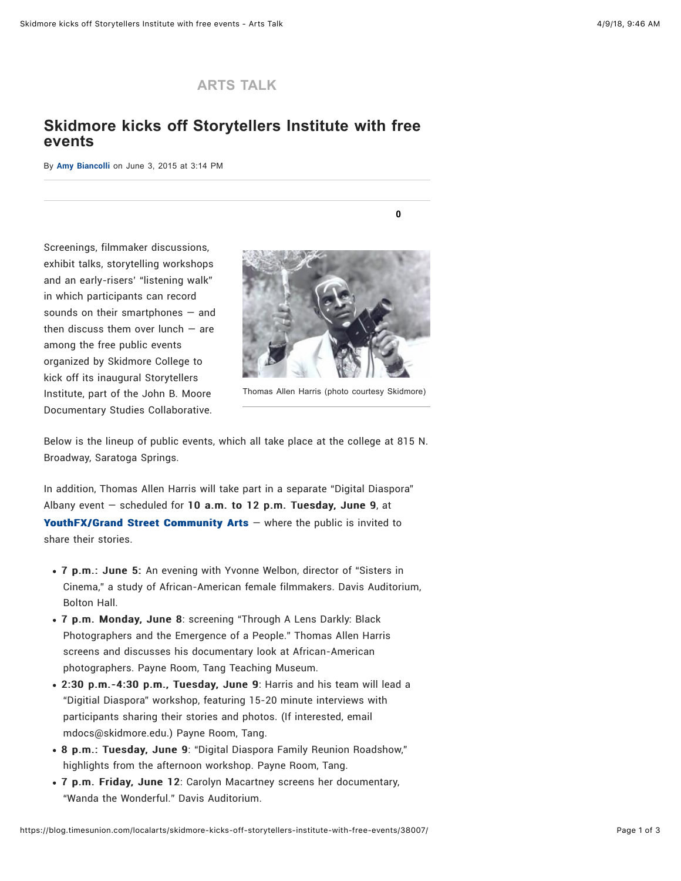## **[ARTS TALK](https://blog.timesunion.com/localarts)**

## **Skidmore kicks off Storytellers Institute with free events**

By [Amy Biancolli](https://blog.timesunion.com/localarts/author/amybiancolli/) on June 3, 2015 at 3:14 PM

Screenings, filmmaker discussions, exhibit talks, storytelling workshops and an early-risers' "listening walk" in which participants can record sounds on their smartphones — and then discuss them over lunch  $-$  are among the free public events organized by Skidmore College to kick off its inaugural Storytellers Institute, part of the John B. Moore Documentary Studies Collaborative.



**[0](#page-1-0)**

Thomas Allen Harris (photo courtesy Skidmore)

Below is the lineup of public events, which all take place at the college at 815 N. Broadway, Saratoga Springs.

In addition, Thomas Allen Harris will take part in a separate "Digital Diaspora" Albany event  $-$  scheduled for 10 a.m. to 12 p.m. Tuesday, June 9, at [YouthFX/Grand Street Community Arts](http://grandarts.org/)  $-$  where the public is invited to share their stories.

- 7 p.m.: June 5: An evening with Yvonne Welbon, director of "Sisters in Cinema," a study of African-American female filmmakers. Davis Auditorium, Bolton Hall.
- 7 p.m. Monday, June 8: screening "Through A Lens Darkly: Black Photographers and the Emergence of a People." Thomas Allen Harris screens and discusses his documentary look at African-American photographers. Payne Room, Tang Teaching Museum.
- 2:30 p.m.-4:30 p.m., Tuesday, June 9: Harris and his team will lead a "Digitial Diaspora" workshop, featuring 15-20 minute interviews with participants sharing their stories and photos. (If interested, email mdocs@skidmore.edu.) Payne Room, Tang.
- 8 p.m.: Tuesday, June 9: "Digital Diaspora Family Reunion Roadshow," highlights from the afternoon workshop. Payne Room, Tang.
- 7 p.m. Friday, June 12: Carolyn Macartney screens her documentary, "Wanda the Wonderful." Davis Auditorium.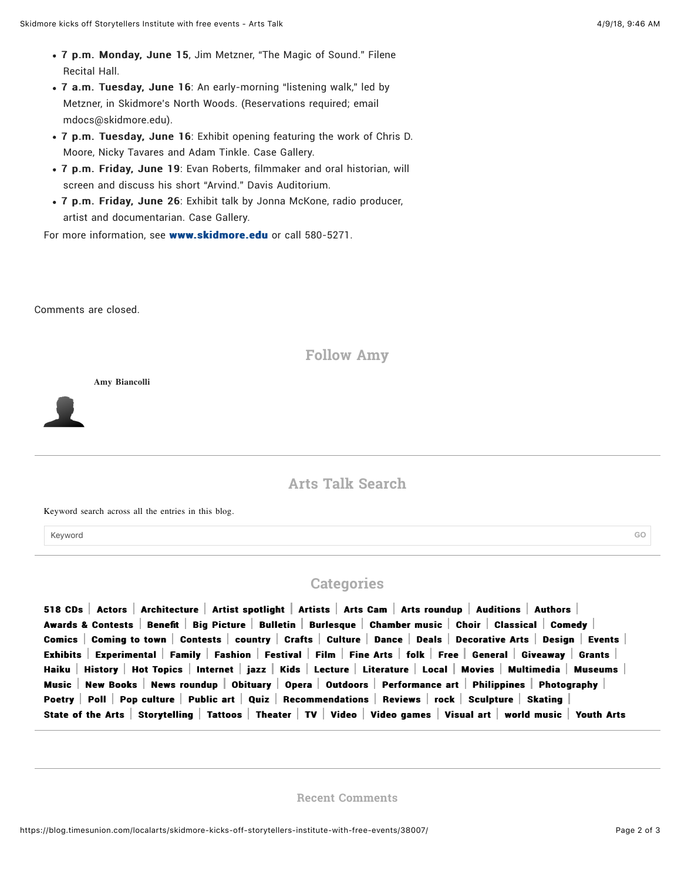- 7 p.m. Monday, June 15, Jim Metzner, "The Magic of Sound." Filene Recital Hall.
- 7 a.m. Tuesday, June 16: An early-morning "listening walk," led by Metzner, in Skidmore's North Woods. (Reservations required; email mdocs@skidmore.edu).
- 7 p.m. Tuesday, June 16: Exhibit opening featuring the work of Chris D. Moore, Nicky Tavares and Adam Tinkle. Case Gallery.
- 7 p.m. Friday, June 19: Evan Roberts, filmmaker and oral historian, will screen and discuss his short "Arvind." Davis Auditorium.
- 7 p.m. Friday, June 26: Exhibit talk by Jonna McKone, radio producer, artist and documentarian. Case Gallery.

For more information, see [www.skidmore.edu](https://www.skidmore.edu/mdocs/storytellers-institute/#PublicEvents) or call 580-5271.

<span id="page-1-0"></span>Comments are closed.

**Follow Amy**

**Amy Biancolli**

**Arts Talk Search**

Keyword search across all the entries in this blog.

Keyword **GO**

**Categories**

[518 CDs](https://blog.timesunion.com/localarts/category/518-cds/)  $\,$  [Actors](https://blog.timesunion.com/localarts/category/actors/)  $\,$  [Architecture](https://blog.timesunion.com/localarts/category/architecture/)  $\,$  [Artist spotlight](https://blog.timesunion.com/localarts/category/artist-spotlight/)  $\,$  [Artists](https://blog.timesunion.com/localarts/category/artists/)  $\,$  [Arts Cam](https://blog.timesunion.com/localarts/category/arts-cam/)  $\,$  [Arts roundup](https://blog.timesunion.com/localarts/category/arts-roundup/)  $\,$  [Auditions](https://blog.timesunion.com/localarts/category/auditions/)  $\,$  [Authors](https://blog.timesunion.com/localarts/category/authors/)  $\,$ [Awards & Contests](https://blog.timesunion.com/localarts/category/awards-contests/)  $\mid$  [Bene](https://blog.timesunion.com/localarts/category/benefit/)fit  $\mid$  [Big Picture](https://blog.timesunion.com/localarts/category/big-picture/)  $\mid$  [Bulletin](https://blog.timesunion.com/localarts/category/bulletin/)  $\mid$  [Burlesque](https://blog.timesunion.com/localarts/category/burlesque/)  $\mid$  [Chamber music](https://blog.timesunion.com/localarts/category/chamber-music/)  $\mid$  [Choir](https://blog.timesunion.com/localarts/category/choir/)  $\mid$  [Classical](https://blog.timesunion.com/localarts/category/classical/)  $\mid$  [Comedy](https://blog.timesunion.com/localarts/category/comedy/)  $\mid$ [Comics](https://blog.timesunion.com/localarts/category/comics/) [Coming to town](https://blog.timesunion.com/localarts/category/coming-to-town/) [Contests](https://blog.timesunion.com/localarts/category/contests/) [country](https://blog.timesunion.com/localarts/category/music/country-music/) | [Crafts](https://blog.timesunion.com/localarts/category/crafts/) | [Culture](https://blog.timesunion.com/localarts/category/culture/) | [Dance](https://blog.timesunion.com/localarts/category/dance/) | [Deals](https://blog.timesunion.com/localarts/category/deals/) | [Decorative Arts](https://blog.timesunion.com/localarts/category/decorative-arts/) | [Design](https://blog.timesunion.com/localarts/category/design/) | [Events](https://blog.timesunion.com/localarts/category/events/) | [Exhibits](https://blog.timesunion.com/localarts/category/exhibits/) [Experimental](https://blog.timesunion.com/localarts/category/experimental/) [Family](https://blog.timesunion.com/localarts/category/family/) [Fashion](https://blog.timesunion.com/localarts/category/fashion/) [Festival](https://blog.timesunion.com/localarts/category/festival-2/) [Film](https://blog.timesunion.com/localarts/category/film/) [Fine Arts](https://blog.timesunion.com/localarts/category/fine-arts/) [folk](https://blog.timesunion.com/localarts/category/music/folk/) [Free](https://blog.timesunion.com/localarts/category/free-2/) [General](https://blog.timesunion.com/localarts/category/general/) [Giveaway](https://blog.timesunion.com/localarts/category/giveaway/) [Grants](https://blog.timesunion.com/localarts/category/grants/)  $\mid$ [Haiku](https://blog.timesunion.com/localarts/category/haiku/) | [History](https://blog.timesunion.com/localarts/category/history/) | [Hot Topics](https://blog.timesunion.com/localarts/category/hot-topics/) | [Internet](https://blog.timesunion.com/localarts/category/internet/) | [jazz](https://blog.timesunion.com/localarts/category/music/jazz/) | [Kids](https://blog.timesunion.com/localarts/category/kids/) | [Lecture](https://blog.timesunion.com/localarts/category/lecture/) | [Literature](https://blog.timesunion.com/localarts/category/literature/) | [Local](https://blog.timesunion.com/localarts/category/local-books/) | [Movies](https://blog.timesunion.com/localarts/category/movies/) | [Multimedia](https://blog.timesunion.com/localarts/category/multimedia/) | [Museums](https://blog.timesunion.com/localarts/category/museums/) | [Music](https://blog.timesunion.com/localarts/category/music/) [New Books](https://blog.timesunion.com/localarts/category/new-books/) [News roundup](https://blog.timesunion.com/localarts/category/news-roundup/) | [Obituary](https://blog.timesunion.com/localarts/category/obituary/) | [Opera](https://blog.timesunion.com/localarts/category/opera/) | [Outdoors](https://blog.timesunion.com/localarts/category/outdoors/) | [Performance art](https://blog.timesunion.com/localarts/category/performance-art/) | [Philippines](https://blog.timesunion.com/localarts/category/philippines/) | [Photography](https://blog.timesunion.com/localarts/category/photography/) | [Poetry](https://blog.timesunion.com/localarts/category/poetry/) [Poll](https://blog.timesunion.com/localarts/category/poll-2/) [Pop culture](https://blog.timesunion.com/localarts/category/pop-culture/) [Public art](https://blog.timesunion.com/localarts/category/public-art/)  $\vert$  [Quiz](https://blog.timesunion.com/localarts/category/quiz/)  $\vert$  [Recommendations](https://blog.timesunion.com/localarts/category/recommendations/)  $\vert$  [Reviews](https://blog.timesunion.com/localarts/category/reviews/)  $\vert$  [rock](https://blog.timesunion.com/localarts/category/music/rock/)  $\vert$  [Sculpture](https://blog.timesunion.com/localarts/category/sculpture/)  $\vert$  [Skating](https://blog.timesunion.com/localarts/category/skating/) [State of the Arts](https://blog.timesunion.com/localarts/category/state-of-the-arts/) [Storytelling](https://blog.timesunion.com/localarts/category/storytelling/) [Tattoos](https://blog.timesunion.com/localarts/category/tattoos/) [Theater](https://blog.timesunion.com/localarts/category/theater/) [TV](https://blog.timesunion.com/localarts/category/tv/) [Video](https://blog.timesunion.com/localarts/category/video/) [Video games](https://blog.timesunion.com/localarts/category/video-games/) [Visual art](https://blog.timesunion.com/localarts/category/visual-art/) World music Vouth Arts

**Recent Comments**